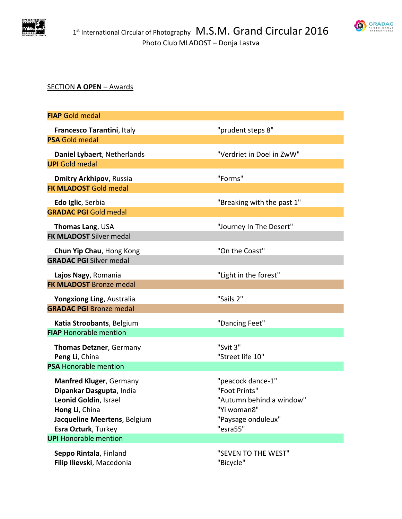

# **SRADAC**

# SECTION **A OPEN** – Awards

| <b>FIAP</b> Gold medal                         |                                         |
|------------------------------------------------|-----------------------------------------|
| Francesco Tarantini, Italy                     | "prudent steps 8"                       |
| <b>PSA Gold medal</b>                          |                                         |
| Daniel Lybaert, Netherlands                    | "Verdriet in Doel in ZwW"               |
| <b>UPI</b> Gold medal                          |                                         |
| <b>Dmitry Arkhipov, Russia</b>                 | "Forms"                                 |
| <b>FK MLADOST Gold medal</b>                   |                                         |
| Edo Iglic, Serbia                              | "Breaking with the past 1"              |
| <b>GRADAC PGI Gold medal</b>                   |                                         |
| Thomas Lang, USA                               | "Journey In The Desert"                 |
| <b>FK MLADOST Silver medal</b>                 |                                         |
| Chun Yip Chau, Hong Kong                       | "On the Coast"                          |
| <b>GRADAC PGI Silver medal</b>                 |                                         |
| Lajos Nagy, Romania                            | "Light in the forest"                   |
| <b>FK MLADOST Bronze medal</b>                 |                                         |
| Yongxiong Ling, Australia                      | "Sails 2"                               |
| <b>GRADAC PGI Bronze medal</b>                 |                                         |
| Katia Stroobants, Belgium                      | "Dancing Feet"                          |
| <b>FIAP Honorable mention</b>                  |                                         |
| <b>Thomas Detzner, Germany</b>                 | "Svit 3"                                |
| Peng Li, China                                 | "Street life 10"                        |
| <b>PSA Honorable mention</b>                   |                                         |
| <b>Manfred Kluger, Germany</b>                 | "peacock dance-1"                       |
| Dipankar Dasgupta, India                       | "Foot Prints"                           |
| Leonid Goldin, Israel                          | "Autumn behind a window"<br>"Yi woman8" |
| Hong Li, China<br>Jacqueline Meertens, Belgium | "Paysage onduleux"                      |
| Esra Ozturk, Turkey                            | "esra55"                                |
| <b>UPI</b> Honorable mention                   |                                         |
| Seppo Rintala, Finland                         | "SEVEN TO THE WEST"                     |
| Filip Ilievski, Macedonia                      | "Bicycle"                               |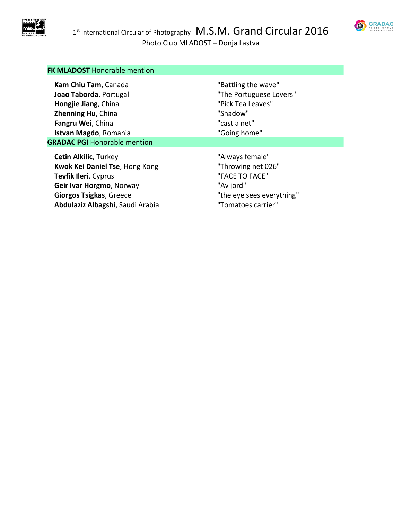



# **FK MLADOST** Honorable mention

| Kam Chiu Tam, Canada                | "Battling the wave"       |
|-------------------------------------|---------------------------|
| Joao Taborda, Portugal              | "The Portuguese Lovers"   |
| Hongjie Jiang, China                | "Pick Tea Leaves"         |
| Zhenning Hu, China                  | "Shadow"                  |
| Fangru Wei, China                   | "cast a net"              |
| Istvan Magdo, Romania               | "Going home"              |
| <b>GRADAC PGI Honorable mention</b> |                           |
| <b>Cetin Alkilic, Turkey</b>        | "Always female"           |
| Kwok Kei Daniel Tse, Hong Kong      | "Throwing net 026"        |
| Tevfik Ileri, Cyprus                | "FACE TO FACE"            |
| Geir Ivar Horgmo, Norway            | "Av jord"                 |
| <b>Giorgos Tsigkas, Greece</b>      | "the eye sees everything" |
| Abdulaziz Albagshi, Saudi Arabia    | "Tomatoes carrier"        |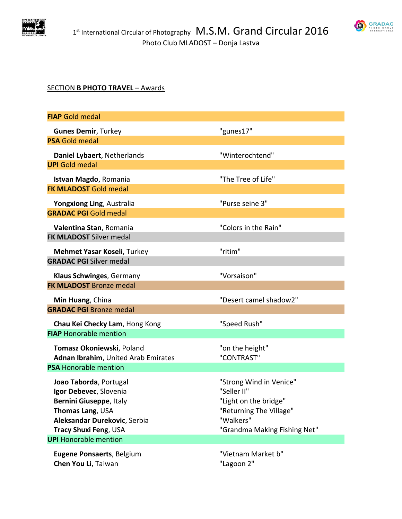



# SECTION **B PHOTO TRAVEL** – Awards

| <b>FIAP</b> Gold medal                      |                                                  |
|---------------------------------------------|--------------------------------------------------|
| <b>Gunes Demir, Turkey</b>                  | "gunes17"                                        |
| <b>PSA Gold medal</b>                       |                                                  |
| Daniel Lybaert, Netherlands                 | "Winterochtend"                                  |
| <b>UPI</b> Gold medal                       |                                                  |
| Istvan Magdo, Romania                       | "The Tree of Life"                               |
| <b>FK MLADOST Gold medal</b>                |                                                  |
| Yongxiong Ling, Australia                   | "Purse seine 3"                                  |
| <b>GRADAC PGI Gold medal</b>                |                                                  |
| Valentina Stan, Romania                     | "Colors in the Rain"                             |
| <b>FK MLADOST Silver medal</b>              |                                                  |
| Mehmet Yasar Koseli, Turkey                 | "ritim"                                          |
| <b>GRADAC PGI Silver medal</b>              |                                                  |
| Klaus Schwinges, Germany                    | "Vorsaison"                                      |
| <b>FK MLADOST Bronze medal</b>              |                                                  |
| Min Huang, China                            | "Desert camel shadow2"                           |
| <b>GRADAC PGI Bronze medal</b>              |                                                  |
| Chau Kei Checky Lam, Hong Kong              | "Speed Rush"                                     |
| <b>FIAP Honorable mention</b>               |                                                  |
| Tomasz Okoniewski, Poland                   | "on the height"                                  |
| Adnan Ibrahim, United Arab Emirates         | "CONTRAST"                                       |
| <b>PSA Honorable mention</b>                |                                                  |
| Joao Taborda, Portugal                      | "Strong Wind in Venice"                          |
| Igor Debevec, Slovenia                      | "Seller II"                                      |
| Bernini Giuseppe, Italy<br>Thomas Lang, USA | "Light on the bridge"<br>"Returning The Village" |
| Aleksandar Durekovic, Serbia                | "Walkers"                                        |
| Tracy Shuxi Feng, USA                       | "Grandma Making Fishing Net"                     |
| <b>UPI</b> Honorable mention                |                                                  |
| Eugene Ponsaerts, Belgium                   | "Vietnam Market b"                               |
| Chen You Li, Taiwan                         | "Lagoon 2"                                       |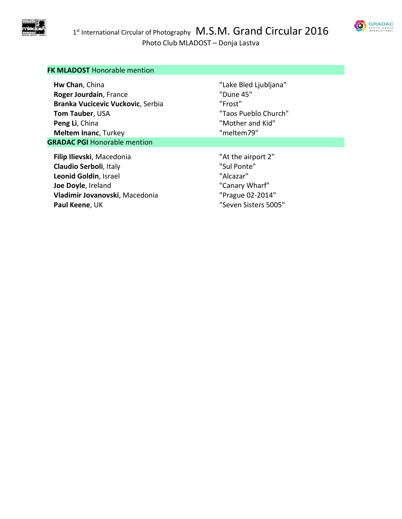



# **FK MLADOST** Honorable mention

| Hw Chan, China                      | "Lake Bled Ljubljana" |
|-------------------------------------|-----------------------|
| Roger Jourdain, France              | "Dune 45"             |
| Branka Vucicevic Vuckovic, Serbia   | "Frost"               |
| <b>Tom Tauber, USA</b>              | "Taos Pueblo Church"  |
| Peng Li, China                      | "Mother and Kid"      |
| <b>Meltem Inanc, Turkey</b>         | "meltem79"            |
| <b>GRADAC PGI Honorable mention</b> |                       |
| Filip Ilievski, Macedonia           | "At the airport 2"    |
| Claudio Serboli, Italy              | "Sul Ponte"           |
| Leonid Goldin, Israel               | "Alcazar"             |
| Joe Doyle, Ireland                  | "Canary Wharf"        |
| Vladimir Jovanovski, Macedonia      | "Prague 02-2014"      |
| Paul Keene, UK                      | "Seven Sisters 5005"  |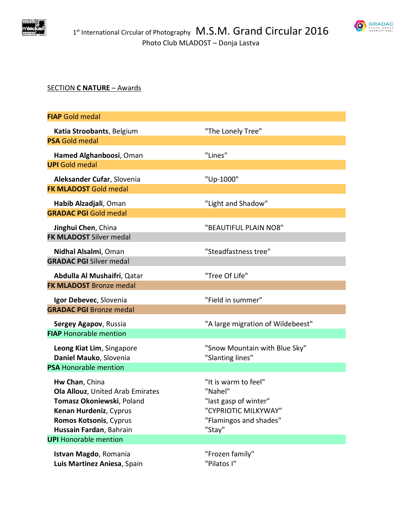

# SECTION **C NATURE** – Awards

| <b>FIAP Gold medal</b>                                        |                                   |
|---------------------------------------------------------------|-----------------------------------|
| Katia Stroobants, Belgium                                     | "The Lonely Tree"                 |
| <b>PSA Gold medal</b>                                         |                                   |
| Hamed Alghanboosi, Oman                                       | "Lines"                           |
| <b>UPI</b> Gold medal                                         |                                   |
| Aleksander Cufar, Slovenia                                    | "Up-1000"                         |
| <b>FK MLADOST Gold medal</b>                                  |                                   |
| Habib Alzadjali, Oman                                         | "Light and Shadow"                |
| <b>GRADAC PGI Gold medal</b>                                  |                                   |
| Jinghui Chen, China                                           | "BEAUTIFUL PLAIN NO8"             |
| <b>FK MLADOST Silver medal</b>                                |                                   |
| Nidhal Alsalmi, Oman                                          | "Steadfastness tree"              |
| <b>GRADAC PGI Silver medal</b>                                |                                   |
| Abdulla Al Mushaifri, Qatar                                   | "Tree Of Life"                    |
| <b>FK MLADOST Bronze medal</b>                                |                                   |
| Igor Debevec, Slovenia                                        | "Field in summer"                 |
| <b>GRADAC PGI Bronze medal</b>                                |                                   |
| Sergey Agapov, Russia                                         | "A large migration of Wildebeest" |
| <b>FIAP Honorable mention</b>                                 |                                   |
| Leong Kiat Lim, Singapore                                     | "Snow Mountain with Blue Sky"     |
| Daniel Mauko, Slovenia                                        | "Slanting lines"                  |
| <b>PSA Honorable mention</b>                                  |                                   |
| Hw Chan, China                                                | "It is warm to feel"              |
| Ola Allouz, United Arab Emirates<br>Tomasz Okoniewski, Poland | "Nahel"<br>"last gasp of winter"  |
| Kenan Hurdeniz, Cyprus                                        | "CYPRIOTIC MILKYWAY"              |
| Romos Kotsonis, Cyprus                                        | "Flamingos and shades"            |
| Hussain Fardan, Bahrain                                       | "Stay"                            |
| <b>UPI</b> Honorable mention                                  |                                   |
| Istvan Magdo, Romania                                         | "Frozen family"                   |
| Luis Martinez Aniesa, Spain                                   | "Pilatos I"                       |